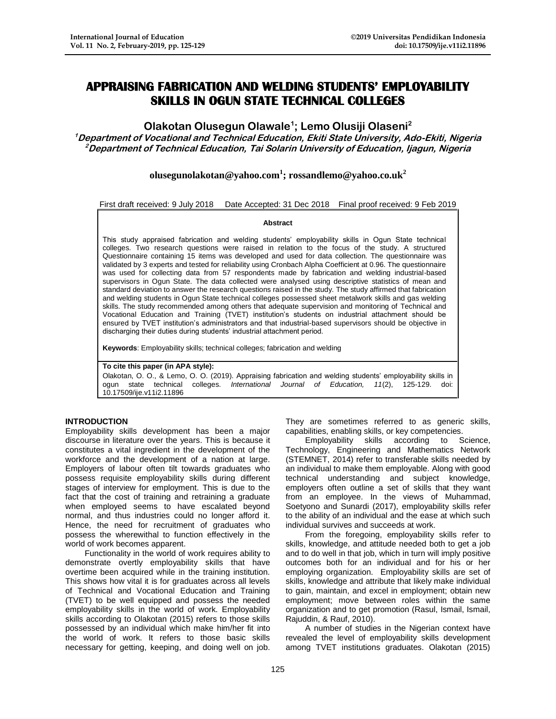# **APPRAISING FABRICATION AND WELDING STUDENTS' EMPLOYABILITY SKILLS IN OGUN STATE TECHNICAL COLLEGES**

## **Olakotan Olusegun Olawale<sup>1</sup> ; Lemo Olusiji Olaseni<sup>2</sup>**

**<sup>1</sup>Department of Vocational and Technical Education, Ekiti State University, Ado-Ekiti, Nigeria <sup>2</sup>Department of Technical Education, Tai Solarin University of Education, Ijagun, Nigeria**

**[olusegunolakotan@yahoo.com](mailto:olusegunolakotan@yahoo.com)<sup>1</sup> ; rossandlemo@yahoo.co.uk<sup>2</sup>**

First draft received: 9 July 2018 Date Accepted: 31 Dec 2018 Final proof received: 9 Feb 2019

#### **Abstract**

This study appraised fabrication and welding students' employability skills in Ogun State technical colleges. Two research questions were raised in relation to the focus of the study. A structured Questionnaire containing 15 items was developed and used for data collection. The questionnaire was validated by 3 experts and tested for reliability using Cronbach Alpha Coefficient at 0.96. The questionnaire was used for collecting data from 57 respondents made by fabrication and welding industrial-based supervisors in Ogun State. The data collected were analysed using descriptive statistics of mean and standard deviation to answer the research questions raised in the study. The study affirmed that fabrication and welding students in Ogun State technical colleges possessed sheet metalwork skills and gas welding skills. The study recommended among others that adequate supervision and monitoring of Technical and Vocational Education and Training (TVET) institution's students on industrial attachment should be ensured by TVET institution's administrators and that industrial-based supervisors should be objective in discharging their duties during students' industrial attachment period.

**Keywords**: Employability skills; technical colleges; fabrication and welding

**To cite this paper (in APA style):**

Olakotan, O. O., & Lemo, O. O. (2019). Appraising fabrication and welding students' employability skills in ogun state technical colleges. *International Journal of Education, 11*(2), 125-129. doi: 10.17509/ije.v11i2.11896

#### **INTRODUCTION**

Employability skills development has been a major discourse in literature over the years. This is because it constitutes a vital ingredient in the development of the workforce and the development of a nation at large. Employers of labour often tilt towards graduates who possess requisite employability skills during different stages of interview for employment. This is due to the fact that the cost of training and retraining a graduate when employed seems to have escalated beyond normal, and thus industries could no longer afford it. Hence, the need for recruitment of graduates who possess the wherewithal to function effectively in the world of work becomes apparent.

Functionality in the world of work requires ability to demonstrate overtly employability skills that have overtime been acquired while in the training institution. This shows how vital it is for graduates across all levels of Technical and Vocational Education and Training (TVET) to be well equipped and possess the needed employability skills in the world of work. Employability skills according to Olakotan (2015) refers to those skills possessed by an individual which make him/her fit into the world of work. It refers to those basic skills necessary for getting, keeping, and doing well on job.

They are sometimes referred to as generic skills, capabilities, enabling skills, or key competencies.

Employability skills according to Science, Technology, Engineering and Mathematics Network (STEMNET, 2014) refer to transferable skills needed by an individual to make them employable. Along with good technical understanding and subject knowledge, employers often outline a set of skills that they want from an employee. In the views of Muhammad, Soetyono and Sunardi (2017), employability skills refer to the ability of an individual and the ease at which such individual survives and succeeds at work.

From the foregoing, employability skills refer to skills, knowledge, and attitude needed both to get a job and to do well in that job, which in turn will imply positive outcomes both for an individual and for his or her employing organization. Employability skills are set of skills, knowledge and attribute that likely make individual to gain, maintain, and excel in employment; obtain new employment; move between roles within the same organization and to get promotion (Rasul, Ismail, Ismail, Rajuddin, & Rauf, 2010).

A number of studies in the Nigerian context have revealed the level of employability skills development among TVET institutions graduates. Olakotan (2015)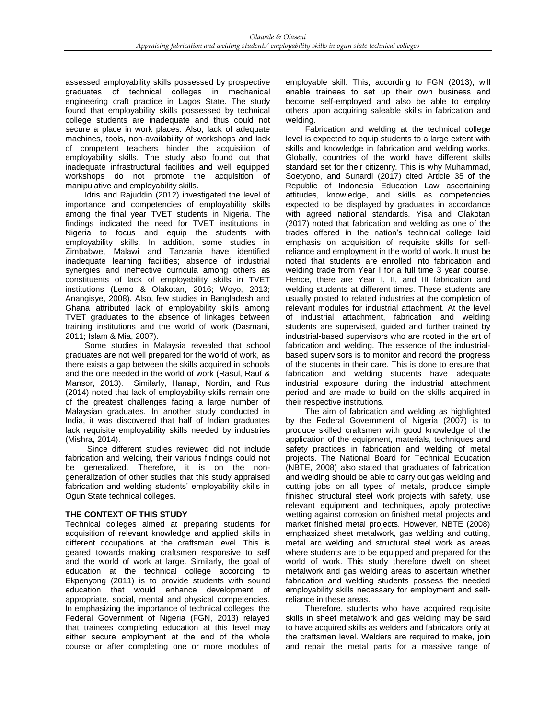assessed employability skills possessed by prospective graduates of technical colleges in mechanical engineering craft practice in Lagos State. The study found that employability skills possessed by technical college students are inadequate and thus could not secure a place in work places. Also, lack of adequate machines, tools, non-availability of workshops and lack of competent teachers hinder the acquisition of employability skills. The study also found out that inadequate infrastructural facilities and well equipped workshops do not promote the acquisition of manipulative and employability skills.

Idris and Rajuddin (2012) investigated the level of importance and competencies of employability skills among the final year TVET students in Nigeria. The findings indicated the need for TVET institutions in Nigeria to focus and equip the students with employability skills. In addition, some studies in Zimbabwe, Malawi and Tanzania have identified inadequate learning facilities; absence of industrial synergies and ineffective curricula among others as constituents of lack of employability skills in TVET institutions (Lemo & Olakotan, 2016; Woyo, 2013; Anangisye, 2008). Also, few studies in Bangladesh and Ghana attributed lack of employability skills among TVET graduates to the absence of linkages between training institutions and the world of work (Dasmani, 2011; Islam & Mia, 2007).

Some studies in Malaysia revealed that school graduates are not well prepared for the world of work, as there exists a gap between the skills acquired in schools and the one needed in the world of work (Rasul, Rauf & Mansor, 2013). Similarly, Hanapi, Nordin, and Rus (2014) noted that lack of employability skills remain one of the greatest challenges facing a large number of Malaysian graduates. In another study conducted in India, it was discovered that half of Indian graduates lack requisite employability skills needed by industries (Mishra, 2014).

Since different studies reviewed did not include fabrication and welding, their various findings could not be generalized. Therefore, it is on the nongeneralization of other studies that this study appraised fabrication and welding students' employability skills in Ogun State technical colleges.

### **THE CONTEXT OF THIS STUDY**

Technical colleges aimed at preparing students for acquisition of relevant knowledge and applied skills in different occupations at the craftsman level. This is geared towards making craftsmen responsive to self and the world of work at large. Similarly, the goal of education at the technical college according to Ekpenyong (2011) is to provide students with sound education that would enhance development of appropriate, social, mental and physical competencies. In emphasizing the importance of technical colleges, the Federal Government of Nigeria (FGN, 2013) relayed that trainees completing education at this level may either secure employment at the end of the whole course or after completing one or more modules of employable skill. This, according to FGN (2013), will enable trainees to set up their own business and become self-employed and also be able to employ others upon acquiring saleable skills in fabrication and welding.

Fabrication and welding at the technical college level is expected to equip students to a large extent with skills and knowledge in fabrication and welding works. Globally, countries of the world have different skills standard set for their citizenry. This is why Muhammad, Soetyono, and Sunardi (2017) cited Article 35 of the Republic of Indonesia Education Law ascertaining attitudes, knowledge, and skills as competencies expected to be displayed by graduates in accordance with agreed national standards. Yisa and Olakotan (2017) noted that fabrication and welding as one of the trades offered in the nation's technical college laid emphasis on acquisition of requisite skills for selfreliance and employment in the world of work. It must be noted that students are enrolled into fabrication and welding trade from Year I for a full time 3 year course. Hence, there are Year I, II, and III fabrication and welding students at different times. These students are usually posted to related industries at the completion of relevant modules for industrial attachment. At the level of industrial attachment, fabrication and welding students are supervised, guided and further trained by industrial-based supervisors who are rooted in the art of fabrication and welding. The essence of the industrialbased supervisors is to monitor and record the progress of the students in their care. This is done to ensure that fabrication and welding students have adequate industrial exposure during the industrial attachment period and are made to build on the skills acquired in their respective institutions.

The aim of fabrication and welding as highlighted by the Federal Government of Nigeria (2007) is to produce skilled craftsmen with good knowledge of the application of the equipment, materials, techniques and safety practices in fabrication and welding of metal projects. The National Board for Technical Education (NBTE, 2008) also stated that graduates of fabrication and welding should be able to carry out gas welding and cutting jobs on all types of metals, produce simple finished structural steel work projects with safety, use relevant equipment and techniques, apply protective wetting against corrosion on finished metal projects and market finished metal projects. However, NBTE (2008) emphasized sheet metalwork, gas welding and cutting, metal arc welding and structural steel work as areas where students are to be equipped and prepared for the world of work. This study therefore dwelt on sheet metalwork and gas welding areas to ascertain whether fabrication and welding students possess the needed employability skills necessary for employment and selfreliance in these areas.

Therefore, students who have acquired requisite skills in sheet metalwork and gas welding may be said to have acquired skills as welders and fabricators only at the craftsmen level. Welders are required to make, join and repair the metal parts for a massive range of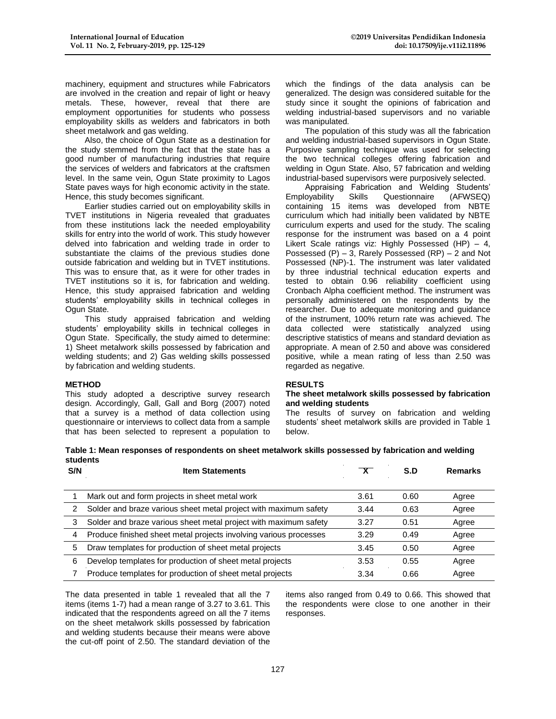machinery, equipment and structures while Fabricators are involved in the creation and repair of light or heavy metals. These, however, reveal that there are employment opportunities for students who possess employability skills as welders and fabricators in both sheet metalwork and gas welding.

Also, the choice of Ogun State as a destination for the study stemmed from the fact that the state has a good number of manufacturing industries that require the services of welders and fabricators at the craftsmen level. In the same vein, Ogun State proximity to Lagos State paves ways for high economic activity in the state. Hence, this study becomes significant.

Earlier studies carried out on employability skills in TVET institutions in Nigeria revealed that graduates from these institutions lack the needed employability skills for entry into the world of work. This study however delved into fabrication and welding trade in order to substantiate the claims of the previous studies done outside fabrication and welding but in TVET institutions. This was to ensure that, as it were for other trades in TVET institutions so it is, for fabrication and welding. Hence, this study appraised fabrication and welding students' employability skills in technical colleges in Ogun State.

This study appraised fabrication and welding students' employability skills in technical colleges in Ogun State. Specifically, the study aimed to determine: 1) Sheet metalwork skills possessed by fabrication and welding students; and 2) Gas welding skills possessed by fabrication and welding students.

#### **METHOD**

This study adopted a descriptive survey research design. Accordingly, Gall, Gall and Borg (2007) noted that a survey is a method of data collection using questionnaire or interviews to collect data from a sample that has been selected to represent a population to which the findings of the data analysis can be generalized. The design was considered suitable for the study since it sought the opinions of fabrication and welding industrial-based supervisors and no variable was manipulated.

The population of this study was all the fabrication and welding industrial-based supervisors in Ogun State. Purposive sampling technique was used for selecting the two technical colleges offering fabrication and welding in Ogun State. Also, 57 fabrication and welding industrial-based supervisors were purposively selected.

Appraising Fabrication and Welding Students' Employability Skills Questionnaire (AFWSEQ) containing 15 items was developed from NBTE curriculum which had initially been validated by NBTE curriculum experts and used for the study. The scaling response for the instrument was based on a 4 point Likert Scale ratings viz: Highly Possessed (HP) – 4, Possessed (P) – 3, Rarely Possessed (RP) – 2 and Not Possessed (NP)-1. The instrument was later validated by three industrial technical education experts and tested to obtain 0.96 reliability coefficient using Cronbach Alpha coefficient method. The instrument was personally administered on the respondents by the researcher. Due to adequate monitoring and guidance of the instrument, 100% return rate was achieved. The data collected were statistically analyzed using descriptive statistics of means and standard deviation as appropriate. A mean of 2.50 and above was considered positive, while a mean rating of less than 2.50 was regarded as negative.

#### **RESULTS**

#### **The sheet metalwork skills possessed by fabrication and welding students**

The results of survey on fabrication and welding students' sheet metalwork skills are provided in Table 1 below.

| Table 1: Mean responses of respondents on sheet metalwork skills possessed by fabrication and welding |  |
|-------------------------------------------------------------------------------------------------------|--|
| students                                                                                              |  |

| S/N | <b>Item Statements</b>                                            |      | S.D  | <b>Remarks</b> |
|-----|-------------------------------------------------------------------|------|------|----------------|
|     |                                                                   |      |      |                |
|     | Mark out and form projects in sheet metal work                    | 3.61 | 0.60 | Agree          |
| 2   | Solder and braze various sheet metal project with maximum safety  | 3.44 | 0.63 | Agree          |
| 3   | Solder and braze various sheet metal project with maximum safety  | 3.27 | 0.51 | Agree          |
| 4   | Produce finished sheet metal projects involving various processes | 3.29 | 0.49 | Agree          |
| 5   | Draw templates for production of sheet metal projects             | 3.45 | 0.50 | Agree          |
| 6   | Develop templates for production of sheet metal projects          | 3.53 | 0.55 | Agree          |
|     | Produce templates for production of sheet metal projects          | 3.34 | 0.66 | Agree          |

The data presented in table 1 revealed that all the 7 items (items 1-7) had a mean range of 3.27 to 3.61. This indicated that the respondents agreed on all the 7 items on the sheet metalwork skills possessed by fabrication and welding students because their means were above the cut-off point of 2.50. The standard deviation of the

items also ranged from 0.49 to 0.66. This showed that the respondents were close to one another in their responses.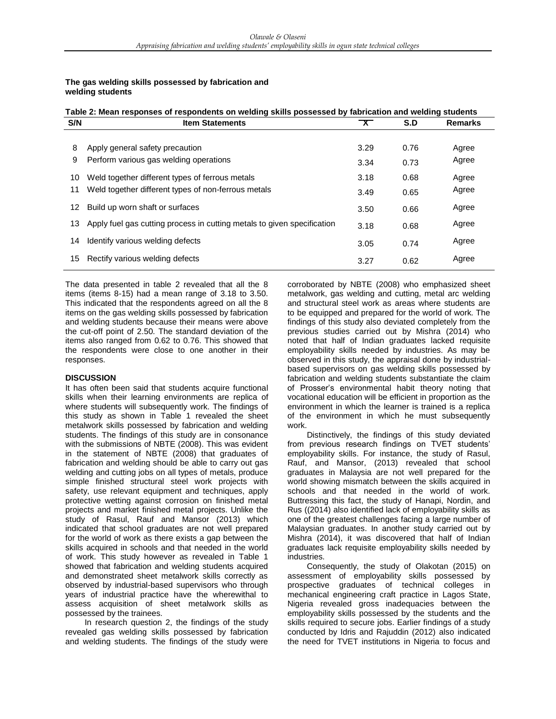#### **The gas welding skills possessed by fabrication and welding students**

| Table 2: Mean responses of respondents on welding skills possessed by fabrication and welding students |                                                                            |                         |      |                |  |  |  |  |
|--------------------------------------------------------------------------------------------------------|----------------------------------------------------------------------------|-------------------------|------|----------------|--|--|--|--|
| S/N                                                                                                    | <b>Item Statements</b>                                                     | $\overline{\mathbf{x}}$ | S.D  | <b>Remarks</b> |  |  |  |  |
| 8                                                                                                      | Apply general safety precaution                                            | 3.29                    | 0.76 | Agree          |  |  |  |  |
| 9                                                                                                      | Perform various gas welding operations                                     | 3.34                    | 0.73 | Agree          |  |  |  |  |
| 10                                                                                                     | Weld together different types of ferrous metals                            | 3.18                    | 0.68 | Agree          |  |  |  |  |
| 11                                                                                                     | Weld together different types of non-ferrous metals                        | 3.49                    | 0.65 | Agree          |  |  |  |  |
| 12                                                                                                     | Build up worn shaft or surfaces                                            | 3.50                    | 0.66 | Agree          |  |  |  |  |
|                                                                                                        | 13 Apply fuel gas cutting process in cutting metals to given specification | 3.18                    | 0.68 | Agree          |  |  |  |  |
| 14                                                                                                     | Identify various welding defects                                           | 3.05                    | 0.74 | Agree          |  |  |  |  |
| 15                                                                                                     | Rectify various welding defects                                            | 3.27                    | 0.62 | Agree          |  |  |  |  |

The data presented in table 2 revealed that all the 8 items (items 8-15) had a mean range of 3.18 to 3.50. This indicated that the respondents agreed on all the 8 items on the gas welding skills possessed by fabrication and welding students because their means were above the cut-off point of 2.50. The standard deviation of the items also ranged from 0.62 to 0.76. This showed that the respondents were close to one another in their responses.

#### **DISCUSSION**

It has often been said that students acquire functional skills when their learning environments are replica of where students will subsequently work. The findings of this study as shown in Table 1 revealed the sheet metalwork skills possessed by fabrication and welding students. The findings of this study are in consonance with the submissions of NBTE (2008). This was evident in the statement of NBTE (2008) that graduates of fabrication and welding should be able to carry out gas welding and cutting jobs on all types of metals, produce simple finished structural steel work projects with safety, use relevant equipment and techniques, apply protective wetting against corrosion on finished metal projects and market finished metal projects. Unlike the study of Rasul, Rauf and Mansor (2013) which indicated that school graduates are not well prepared for the world of work as there exists a gap between the skills acquired in schools and that needed in the world of work. This study however as revealed in Table 1 showed that fabrication and welding students acquired and demonstrated sheet metalwork skills correctly as observed by industrial-based supervisors who through years of industrial practice have the wherewithal to assess acquisition of sheet metalwork skills as possessed by the trainees.

In research question 2, the findings of the study revealed gas welding skills possessed by fabrication and welding students. The findings of the study were corroborated by NBTE (2008) who emphasized sheet metalwork, gas welding and cutting, metal arc welding and structural steel work as areas where students are to be equipped and prepared for the world of work. The findings of this study also deviated completely from the previous studies carried out by Mishra (2014) who noted that half of Indian graduates lacked requisite employability skills needed by industries. As may be observed in this study, the appraisal done by industrialbased supervisors on gas welding skills possessed by fabrication and welding students substantiate the claim of Prosser's environmental habit theory noting that vocational education will be efficient in proportion as the environment in which the learner is trained is a replica of the environment in which he must subsequently work.

Distinctively, the findings of this study deviated from previous research findings on TVET students' employability skills. For instance, the study of Rasul, Rauf, and Mansor, (2013) revealed that school graduates in Malaysia are not well prepared for the world showing mismatch between the skills acquired in schools and that needed in the world of work. Buttressing this fact, the study of Hanapi, Nordin, and Rus ((2014) also identified lack of employability skills as one of the greatest challenges facing a large number of Malaysian graduates. In another study carried out by Mishra (2014), it was discovered that half of Indian graduates lack requisite employability skills needed by industries.

Consequently, the study of Olakotan (2015) on assessment of employability skills possessed by prospective graduates of technical colleges in mechanical engineering craft practice in Lagos State, Nigeria revealed gross inadequacies between the employability skills possessed by the students and the skills required to secure jobs. Earlier findings of a study conducted by Idris and Rajuddin (2012) also indicated the need for TVET institutions in Nigeria to focus and